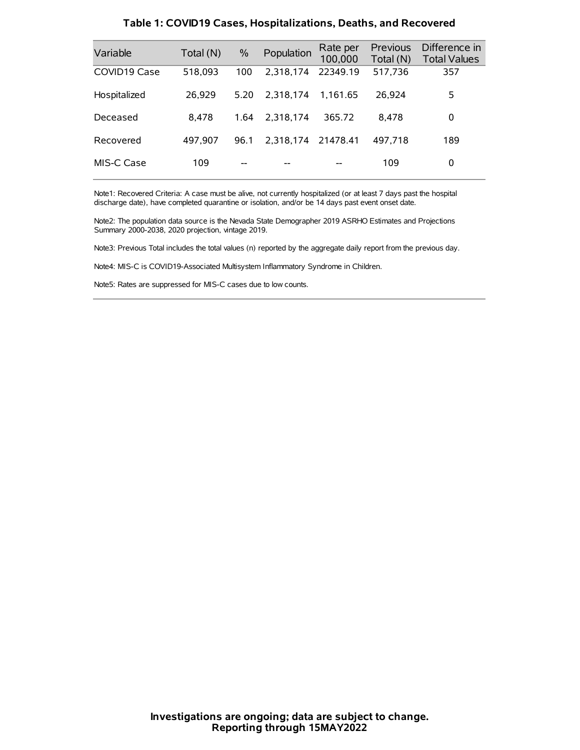| Variable     | Total (N) | $\%$ | Population         | Rate per<br>100,000 | Previous<br>Total (N) | Difference in<br><b>Total Values</b> |
|--------------|-----------|------|--------------------|---------------------|-----------------------|--------------------------------------|
| COVID19 Case | 518,093   | 100  | 2.318.174          | 22349.19            | 517,736               | 357                                  |
| Hospitalized | 26,929    | 5.20 | 2.318.174          | 1.161.65            | 26,924                | 5                                    |
| Deceased     | 8.478     | 1.64 | 2.318.174          | 365.72              | 8.478                 | 0                                    |
| Recovered    | 497,907   | 96.1 | 2,318,174 21478.41 |                     | 497,718               | 189                                  |
| MIS-C Case   | 109       | --   |                    |                     | 109                   | 0                                    |

#### **Table 1: COVID19 Cases, Hospitalizations, Deaths, and Recovered**

Note1: Recovered Criteria: A case must be alive, not currently hospitalized (or at least 7 days past the hospital discharge date), have completed quarantine or isolation, and/or be 14 days past event onset date.

Note2: The population data source is the Nevada State Demographer 2019 ASRHO Estimates and Projections Summary 2000-2038, 2020 projection, vintage 2019.

Note3: Previous Total includes the total values (n) reported by the aggregate daily report from the previous day.

Note4: MIS-C is COVID19-Associated Multisystem Inflammatory Syndrome in Children.

Note5: Rates are suppressed for MIS-C cases due to low counts.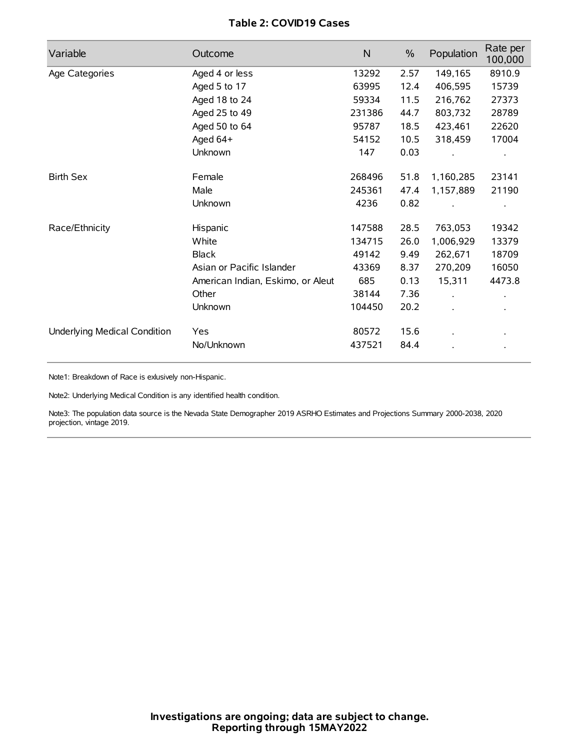# **Table 2: COVID19 Cases**

| Variable                     | Outcome                           | $\mathsf{N}$ | $\%$ | Population | Rate per<br>100,000 |
|------------------------------|-----------------------------------|--------------|------|------------|---------------------|
| Age Categories               | Aged 4 or less                    | 13292        | 2.57 | 149,165    | 8910.9              |
|                              | Aged 5 to 17                      | 63995        | 12.4 | 406,595    | 15739               |
|                              | Aged 18 to 24                     | 59334        | 11.5 | 216,762    | 27373               |
|                              | Aged 25 to 49                     | 231386       | 44.7 | 803,732    | 28789               |
|                              | Aged 50 to 64                     | 95787        | 18.5 | 423,461    | 22620               |
|                              | Aged 64+                          | 54152        | 10.5 | 318,459    | 17004               |
|                              | Unknown                           | 147          | 0.03 |            |                     |
| <b>Birth Sex</b>             | Female                            | 268496       | 51.8 | 1,160,285  | 23141               |
|                              | Male                              | 245361       | 47.4 | 1,157,889  | 21190               |
|                              | Unknown                           | 4236         | 0.82 |            |                     |
| Race/Ethnicity               | Hispanic                          | 147588       | 28.5 | 763,053    | 19342               |
|                              | White                             | 134715       | 26.0 | 1,006,929  | 13379               |
|                              | <b>Black</b>                      | 49142        | 9.49 | 262,671    | 18709               |
|                              | Asian or Pacific Islander         | 43369        | 8.37 | 270,209    | 16050               |
|                              | American Indian, Eskimo, or Aleut | 685          | 0.13 | 15,311     | 4473.8              |
|                              | Other                             | 38144        | 7.36 |            |                     |
|                              | Unknown                           | 104450       | 20.2 |            |                     |
| Underlying Medical Condition | Yes                               | 80572        | 15.6 |            |                     |
|                              | No/Unknown                        | 437521       | 84.4 |            |                     |

Note1: Breakdown of Race is exlusively non-Hispanic.

Note2: Underlying Medical Condition is any identified health condition.

Note3: The population data source is the Nevada State Demographer 2019 ASRHO Estimates and Projections Summary 2000-2038, 2020 projection, vintage 2019.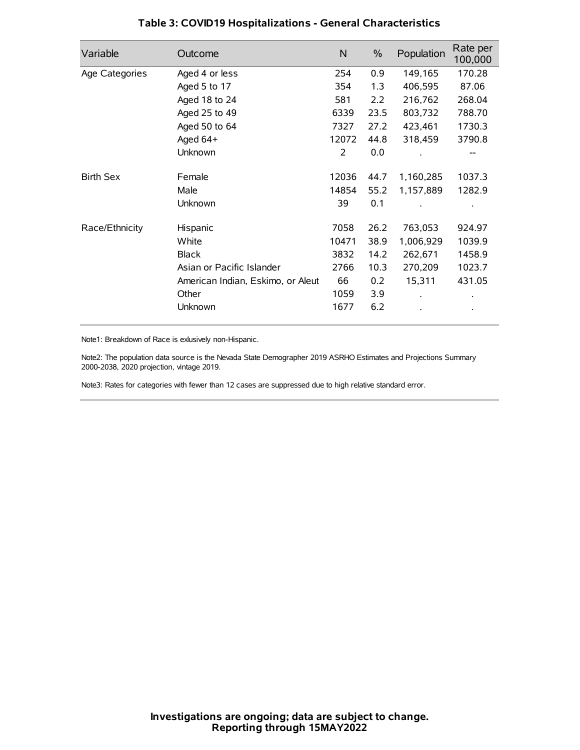| Variable         | Outcome                           | N     | $\%$ | Population | Rate per<br>100,000 |
|------------------|-----------------------------------|-------|------|------------|---------------------|
| Age Categories   | Aged 4 or less                    | 254   | 0.9  | 149,165    | 170.28              |
|                  | Aged 5 to 17                      | 354   | 1.3  | 406,595    | 87.06               |
|                  | Aged 18 to 24                     | 581   | 2.2  | 216,762    | 268.04              |
|                  | Aged 25 to 49                     | 6339  | 23.5 | 803,732    | 788.70              |
|                  | Aged 50 to 64                     | 7327  | 27.2 | 423,461    | 1730.3              |
|                  | Aged $64+$                        | 12072 | 44.8 | 318,459    | 3790.8              |
|                  | Unknown                           | 2     | 0.0  |            | --                  |
| <b>Birth Sex</b> | Female                            | 12036 | 44.7 | 1,160,285  | 1037.3              |
|                  | Male                              | 14854 | 55.2 | 1,157,889  | 1282.9              |
|                  | Unknown                           | 39    | 0.1  |            |                     |
| Race/Ethnicity   | Hispanic                          | 7058  | 26.2 | 763,053    | 924.97              |
|                  | White                             | 10471 | 38.9 | 1,006,929  | 1039.9              |
|                  | <b>Black</b>                      | 3832  | 14.2 | 262,671    | 1458.9              |
|                  | Asian or Pacific Islander         | 2766  | 10.3 | 270,209    | 1023.7              |
|                  | American Indian, Eskimo, or Aleut | 66    | 0.2  | 15,311     | 431.05              |
|                  | Other                             | 1059  | 3.9  |            |                     |
|                  | Unknown                           | 1677  | 6.2  |            |                     |

# **Table 3: COVID19 Hospitalizations - General Characteristics**

Note1: Breakdown of Race is exlusively non-Hispanic.

Note2: The population data source is the Nevada State Demographer 2019 ASRHO Estimates and Projections Summary 2000-2038, 2020 projection, vintage 2019.

Note3: Rates for categories with fewer than 12 cases are suppressed due to high relative standard error.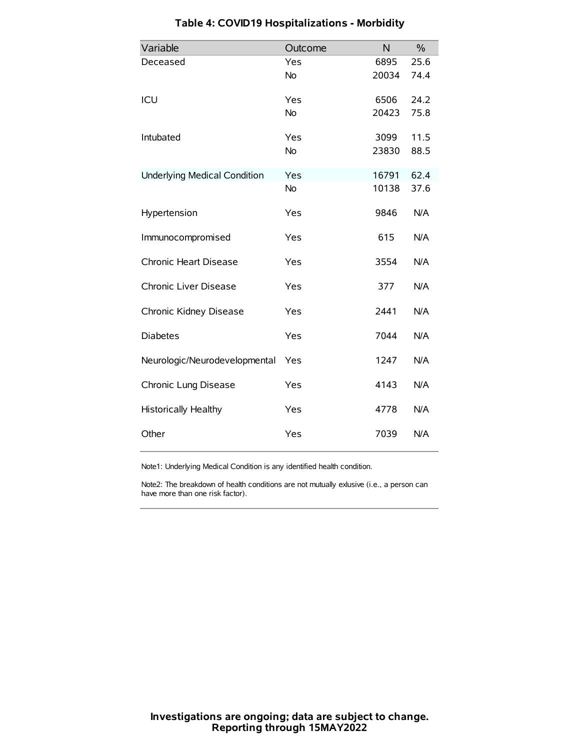| Variable                            | Outcome   | N     | $\frac{0}{0}$ |
|-------------------------------------|-----------|-------|---------------|
| Deceased                            | Yes       | 6895  | 25.6          |
|                                     | No        | 20034 | 74.4          |
| ICU                                 | Yes       | 6506  | 24.2          |
|                                     | <b>No</b> | 20423 | 75.8          |
| Intubated                           | Yes       | 3099  | 11.5          |
|                                     | No        | 23830 | 88.5          |
| <b>Underlying Medical Condition</b> | Yes       | 16791 | 62.4          |
|                                     | <b>No</b> | 10138 | 37.6          |
| Hypertension                        | Yes       | 9846  | N/A           |
| Immunocompromised                   | Yes       | 615   | N/A           |
| Chronic Heart Disease               | Yes       | 3554  | N/A           |
| Chronic Liver Disease               | Yes       | 377   | N/A           |
| Chronic Kidney Disease              | Yes       | 2441  | N/A           |
| <b>Diabetes</b>                     | Yes       | 7044  | N/A           |
| Neurologic/Neurodevelopmental       | Yes       | 1247  | N/A           |
| Chronic Lung Disease                | Yes       | 4143  | N/A           |
| Historically Healthy                | Yes       | 4778  | N/A           |
| Other                               | Yes       | 7039  | N/A           |

# **Table 4: COVID19 Hospitalizations - Morbidity**

Note1: Underlying Medical Condition is any identified health condition.

Note2: The breakdown of health conditions are not mutually exlusive (i.e., a person can have more than one risk factor).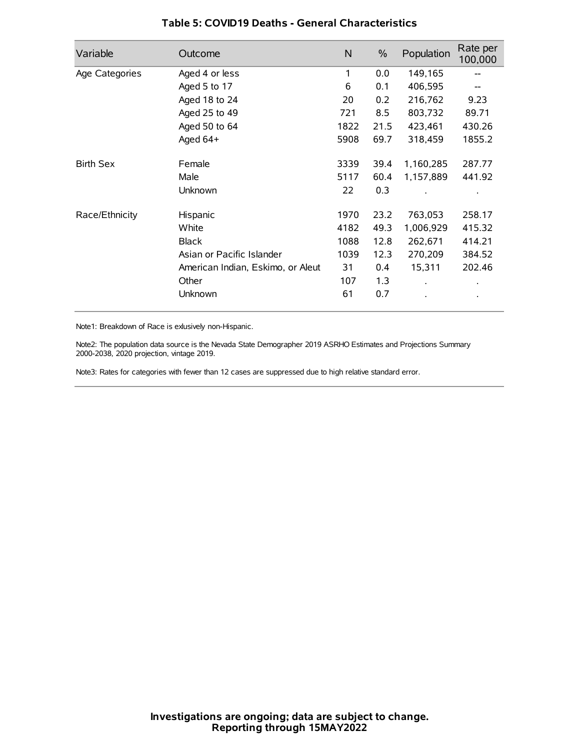| Variable         | Outcome                           | N    | $\%$ | Population           | Rate per<br>100,000 |
|------------------|-----------------------------------|------|------|----------------------|---------------------|
| Age Categories   | Aged 4 or less                    | 1    | 0.0  | 149,165              |                     |
|                  | Aged 5 to 17                      | 6    | 0.1  | 406,595              |                     |
|                  | Aged 18 to 24                     | 20   | 0.2  | 216,762              | 9.23                |
|                  | Aged 25 to 49                     | 721  | 8.5  | 803,732              | 89.71               |
|                  | Aged 50 to 64                     | 1822 | 21.5 | 423,461              | 430.26              |
|                  | Aged 64+                          | 5908 | 69.7 | 318,459              | 1855.2              |
| <b>Birth Sex</b> | Female                            | 3339 | 39.4 | 1,160,285            | 287.77              |
|                  | Male                              | 5117 | 60.4 | 1,157,889            | 441.92              |
|                  | Unknown                           | 22   | 0.3  |                      |                     |
| Race/Ethnicity   | Hispanic                          | 1970 | 23.2 | 763,053              | 258.17              |
|                  | White                             | 4182 | 49.3 | 1,006,929            | 415.32              |
|                  | <b>Black</b>                      | 1088 | 12.8 | 262,671              | 414.21              |
|                  | Asian or Pacific Islander         | 1039 | 12.3 | 270,209              | 384.52              |
|                  | American Indian, Eskimo, or Aleut | 31   | 0.4  | 15,311               | 202.46              |
|                  | Other                             | 107  | 1.3  | $\ddot{\phantom{0}}$ | $\bullet$           |
|                  | Unknown                           | 61   | 0.7  |                      | $\bullet$           |

### **Table 5: COVID19 Deaths - General Characteristics**

Note1: Breakdown of Race is exlusively non-Hispanic.

Note2: The population data source is the Nevada State Demographer 2019 ASRHO Estimates and Projections Summary 2000-2038, 2020 projection, vintage 2019.

Note3: Rates for categories with fewer than 12 cases are suppressed due to high relative standard error.